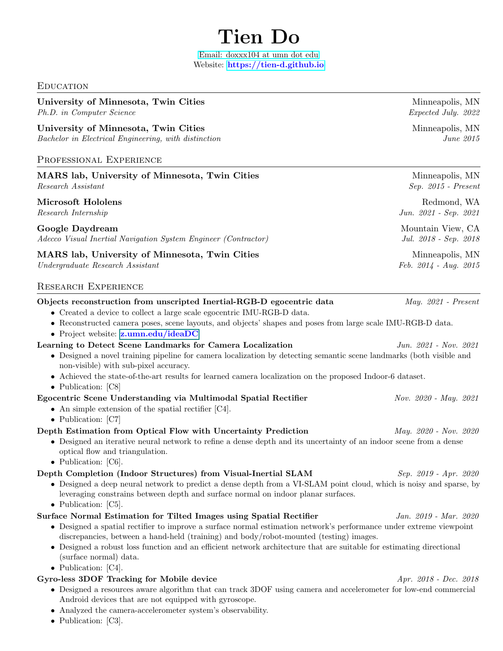# Tien Do

[Email: doxxx104 at umn dot edu](mailto:doxxx104@umn.edu) Website: <https://tien-d.github.io>

#### **EDUCATION**

## University of Minnesota, Twin Cities and Minneapolis, MN

Ph.D. in Computer Science Expected July. 2022

University of Minnesota, Twin Cities and American control of Minneapolis, MN Bachelor in Electrical Engineering, with distinction June 2015

## Professional Experience

MARS lab, University of Minnesota, Twin Cities Minneapolis, MN Research Assistant Sep. 2015 - Present

Microsoft Hololens **Redmond, WA** 

## Google Daydream and the state of the state of the Mountain View, CA

Adecco Visual Inertial Navigation System Engineer (Contractor) Jul. 2018 - Sep. 2018

## MARS lab, University of Minnesota, Twin Cities Manuson Minneapolis, MN

Undergraduate Research Assistant Feb. 2014 - Aug. 2015

## Research Experience

## Objects reconstruction from unscripted Inertial-RGB-D egocentric data May. 2021 - Present

- Created a device to collect a large scale egocentric IMU-RGB-D data.
- Reconstructed camera poses, scene layouts, and objects' shapes and poses from large scale IMU-RGB-D data.
- Project website: **z.umn.edu/ideaDC**

## **Learning to Detect Scene Landmarks for Camera Localization** Jun. 2021 - Nov. 2021

- Designed a novel training pipeline for camera localization by detecting semantic scene landmarks (both visible and non-visible) with sub-pixel accuracy.
- Achieved the state-of-the-art results for learned camera localization on the proposed Indoor-6 dataset.
- Publication: [C8]

## Egocentric Scene Understanding via Multimodal Spatial Rectifier Nov. 2020 - May. 2021

- An simple extension of the spatial rectifier [C4].
- Publication: [C7]

## Depth Estimation from Optical Flow with Uncertainty Prediction May. 2020 - Nov. 2020

- Designed an iterative neural network to refine a dense depth and its uncertainty of an indoor scene from a dense optical flow and triangulation.
- Publication: [C6].

## Depth Completion (Indoor Structures) from Visual-Inertial SLAM Sep. 2019 - Apr. 2020

- Designed a deep neural network to predict a dense depth from a VI-SLAM point cloud, which is noisy and sparse, by leveraging constrains between depth and surface normal on indoor planar surfaces.
- Publication: [C5].

## Surface Normal Estimation for Tilted Images using Spatial Rectifier *Jan. 2019 - Mar. 2020*

- Designed a spatial rectifier to improve a surface normal estimation network's performance under extreme viewpoint discrepancies, between a hand-held (training) and body/robot-mounted (testing) images.
- Designed a robust loss function and an efficient network architecture that are suitable for estimating directional (surface normal) data.
- Publication: [C4].

## Gyro-less 3DOF Tracking for Mobile device Apr. 2018 - Dec. 2018 - Dec. 2018

- Designed a resources aware algorithm that can track 3DOF using camera and accelerometer for low-end commercial Android devices that are not equipped with gyroscope.
- Analyzed the camera-accelerometer system's observability.
- Publication: [C3].

Research Internship Jun. 2021 - Sep. 2021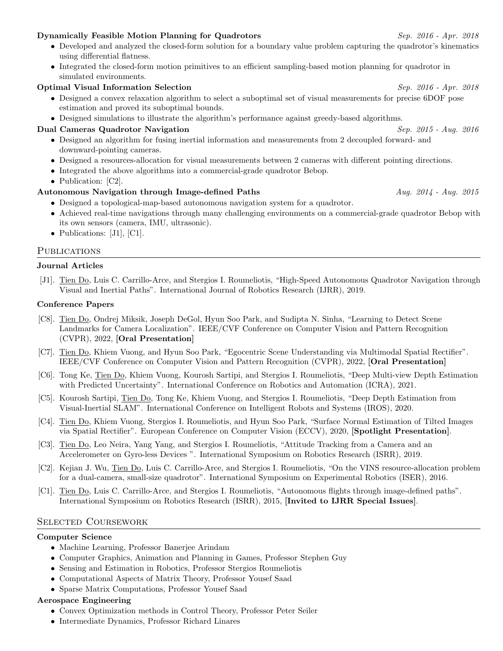## Dynamically Feasible Motion Planning for Quadrotors Sep. 2016 - Apr. 2018

- Developed and analyzed the closed-form solution for a boundary value problem capturing the quadrotor's kinematics using differential flatness.
- Integrated the closed-form motion primitives to an efficient sampling-based motion planning for quadrotor in simulated environments.

## **Optimal Visual Information Selection** Sep. 2016 - Apr. 2018

- Designed a convex relaxation algorithm to select a suboptimal set of visual measurements for precise 6DOF pose estimation and proved its suboptimal bounds.
- Designed simulations to illustrate the algorithm's performance against greedy-based algorithms.

## **Dual Cameras Quadrotor Navigation** Sep. 2015 - Aug. 2016

- Designed an algorithm for fusing inertial information and measurements from 2 decoupled forward- and downward-pointing cameras.
- Designed a resources-allocation for visual measurements between 2 cameras with different pointing directions.
- Integrated the above algorithms into a commercial-grade quadrotor Bebop.
- Publication: [C2].

## Autonomous Navigation through Image-defined Paths  $Auq. 2014$  - Aug. 2015

- Designed a topological-map-based autonomous navigation system for a quadrotor.
- Achieved real-time navigations through many challenging environments on a commercial-grade quadrotor Bebop with its own sensors (camera, IMU, ultrasonic).
- Publications: [J1], [C1].

## PUBLICATIONS

#### Journal Articles

[J1]. Tien Do, Luis C. Carrillo-Arce, and Stergios I. Roumeliotis, "High-Speed Autonomous Quadrotor Navigation through Visual and Inertial Paths". International Journal of Robotics Research (IJRR), 2019.

#### Conference Papers

- [C8]. Tien Do, Ondrej Miksik, Joseph DeGol, Hyun Soo Park, and Sudipta N. Sinha, "Learning to Detect Scene Landmarks for Camera Localization". IEEE/CVF Conference on Computer Vision and Pattern Recognition (CVPR), 2022, [Oral Presentation]
- [C7]. Tien Do, Khiem Vuong, and Hyun Soo Park, "Egocentric Scene Understanding via Multimodal Spatial Rectifier". IEEE/CVF Conference on Computer Vision and Pattern Recognition (CVPR), 2022, [Oral Presentation]
- [C6]. Tong Ke, Tien Do, Khiem Vuong, Kourosh Sartipi, and Stergios I. Roumeliotis, "Deep Multi-view Depth Estimation with Predicted Uncertainty". International Conference on Robotics and Automation (ICRA), 2021.
- [C5]. Kourosh Sartipi, Tien Do, Tong Ke, Khiem Vuong, and Stergios I. Roumeliotis, "Deep Depth Estimation from Visual-Inertial SLAM". International Conference on Intelligent Robots and Systems (IROS), 2020.
- [C4]. Tien Do, Khiem Vuong, Stergios I. Roumeliotis, and Hyun Soo Park, "Surface Normal Estimation of Tilted Images via Spatial Rectifier". European Conference on Computer Vision (ECCV), 2020, [Spotlight Presentation].
- [C3]. Tien Do, Leo Neira, Yang Yang, and Stergios I. Roumeliotis, "Attitude Tracking from a Camera and an Accelerometer on Gyro-less Devices ". International Symposium on Robotics Research (ISRR), 2019.
- [C2]. Kejian J. Wu, Tien Do, Luis C. Carrillo-Arce, and Stergios I. Roumeliotis, "On the VINS resource-allocation problem for a dual-camera, small-size quadrotor". International Symposium on Experimental Robotics (ISER), 2016.
- [C1]. Tien Do, Luis C. Carrillo-Arce, and Stergios I. Roumeliotis, "Autonomous flights through image-defined paths". International Symposium on Robotics Research (ISRR), 2015, [Invited to IJRR Special Issues].

#### Selected Coursework

#### Computer Science

- Machine Learning, Professor Banerjee Arindam
- Computer Graphics, Animation and Planning in Games, Professor Stephen Guy
- Sensing and Estimation in Robotics, Professor Stergios Roumeliotis
- Computational Aspects of Matrix Theory, Professor Yousef Saad
- Sparse Matrix Computations, Professor Yousef Saad

## Aerospace Engineering

- Convex Optimization methods in Control Theory, Professor Peter Seiler
- Intermediate Dynamics, Professor Richard Linares